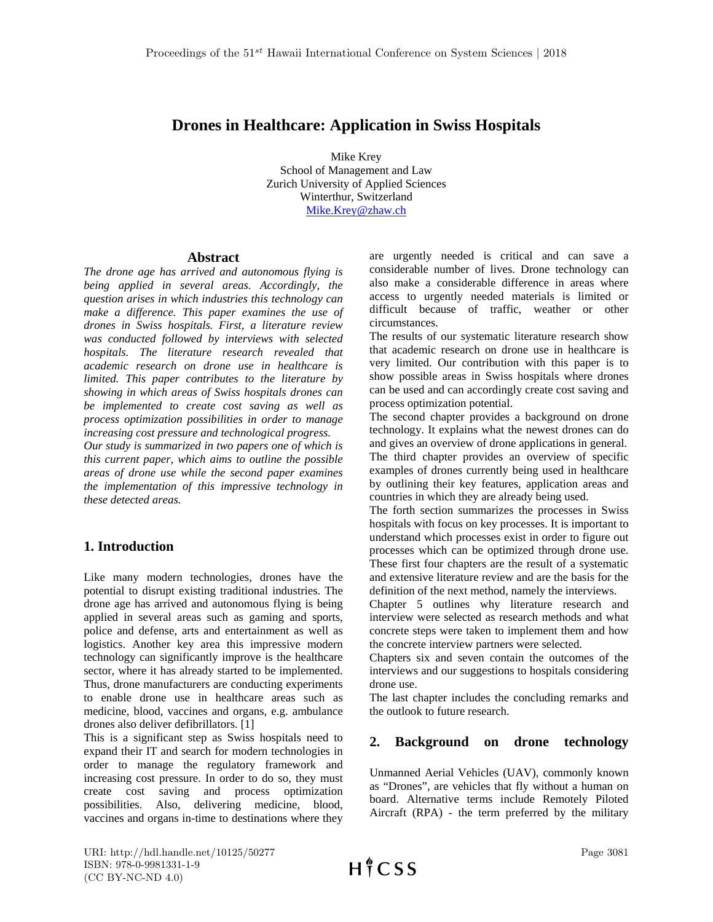# **Drones in Healthcare: Application in Swiss Hospitals**

Mike Krey School of Management and Law Zurich University of Applied Sciences Winterthur, Switzerland [Mike.Krey@zhaw.ch](mailto:Mike.Krey@zhaw.ch)

#### **Abstract**

*The drone age has arrived and autonomous flying is being applied in several areas. Accordingly, the question arises in which industries this technology can make a difference. This paper examines the use of drones in Swiss hospitals. First, a literature review was conducted followed by interviews with selected hospitals. The literature research revealed that academic research on drone use in healthcare is limited. This paper contributes to the literature by showing in which areas of Swiss hospitals drones can be implemented to create cost saving as well as process optimization possibilities in order to manage increasing cost pressure and technological progress.* 

*Our study is summarized in two papers one of which is this current paper, which aims to outline the possible areas of drone use while the second paper examines the implementation of this impressive technology in these detected areas.*

# **1. Introduction**

Like many modern technologies, drones have the potential to disrupt existing traditional industries. The drone age has arrived and autonomous flying is being applied in several areas such as gaming and sports, police and defense, arts and entertainment as well as logistics. Another key area this impressive modern technology can significantly improve is the healthcare sector, where it has already started to be implemented. Thus, drone manufacturers are conducting experiments to enable drone use in healthcare areas such as medicine, blood, vaccines and organs, e.g. ambulance drones also deliver defibrillators. [1]

This is a significant step as Swiss hospitals need to expand their IT and search for modern technologies in order to manage the regulatory framework and increasing cost pressure. In order to do so, they must create cost saving and process optimization possibilities. Also, delivering medicine, blood, vaccines and organs in-time to destinations where they are urgently needed is critical and can save a considerable number of lives. Drone technology can also make a considerable difference in areas where access to urgently needed materials is limited or difficult because of traffic, weather or other circumstances.

The results of our systematic literature research show that academic research on drone use in healthcare is very limited. Our contribution with this paper is to show possible areas in Swiss hospitals where drones can be used and can accordingly create cost saving and process optimization potential.

The second chapter provides a background on drone technology. It explains what the newest drones can do and gives an overview of drone applications in general. The third chapter provides an overview of specific examples of drones currently being used in healthcare by outlining their key features, application areas and countries in which they are already being used.

The forth section summarizes the processes in Swiss hospitals with focus on key processes. It is important to understand which processes exist in order to figure out processes which can be optimized through drone use. These first four chapters are the result of a systematic and extensive literature review and are the basis for the definition of the next method, namely the interviews.

Chapter 5 outlines why literature research and interview were selected as research methods and what concrete steps were taken to implement them and how the concrete interview partners were selected.

Chapters six and seven contain the outcomes of the interviews and our suggestions to hospitals considering drone use.

The last chapter includes the concluding remarks and the outlook to future research.

# **2. Background on drone technology**

Unmanned Aerial Vehicles (UAV), commonly known as "Drones", are vehicles that fly without a human on board. Alternative terms include Remotely Piloted Aircraft (RPA) - the term preferred by the military

URI: http://hdl.handle.net/10125/50277 ISBN: 978-0-9981331-1-9 (CC BY-NC-ND 4.0)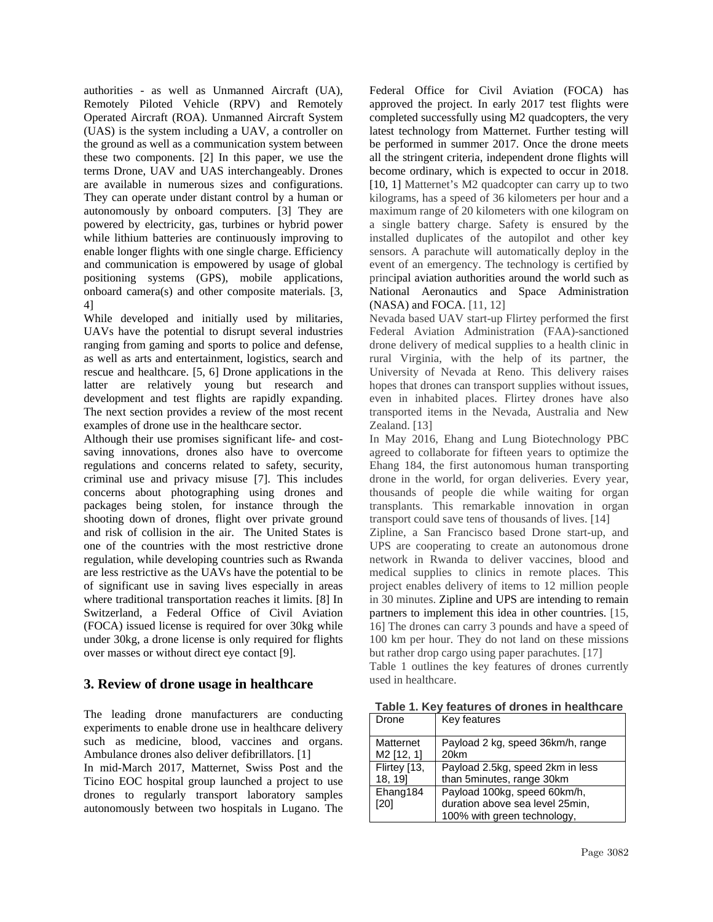authorities - as well as Unmanned Aircraft (UA), Remotely Piloted Vehicle (RPV) and Remotely Operated Aircraft (ROA). Unmanned Aircraft System (UAS) is the system including a UAV, a controller on the ground as well as a communication system between these two components. [2] In this paper, we use the terms Drone, UAV and UAS interchangeably. Drones are available in numerous sizes and configurations. They can operate under distant control by a human or autonomously by onboard computers. [3] They are powered by electricity, gas, turbines or hybrid power while lithium batteries are continuously improving to enable longer flights with one single charge. Efficiency and communication is empowered by usage of global positioning systems (GPS), mobile applications, onboard camera(s) and other composite materials. [3, 4]

While developed and initially used by militaries, UAVs have the potential to disrupt several industries ranging from gaming and sports to police and defense, as well as arts and entertainment, logistics, search and rescue and healthcare. [5, 6] Drone applications in the latter are relatively young but research and development and test flights are rapidly expanding. The next section provides a review of the most recent examples of drone use in the healthcare sector.

Although their use promises significant life- and costsaving innovations, drones also have to overcome regulations and concerns related to safety, security, criminal use and privacy misuse [7]. This includes concerns about photographing using drones and packages being stolen, for instance through the shooting down of drones, flight over private ground and risk of collision in the air. The United States is one of the countries with the most restrictive drone regulation, while developing countries such as Rwanda are less restrictive as the UAVs have the potential to be of significant use in saving lives especially in areas where traditional transportation reaches it limits. [8] In Switzerland, a Federal Office of Civil Aviation (FOCA) issued license is required for over 30kg while under 30kg, a drone license is only required for flights over masses or without direct eye contact [9].

# **3. Review of drone usage in healthcare**

The leading drone manufacturers are conducting experiments to enable drone use in healthcare delivery such as medicine, blood, vaccines and organs. Ambulance drones also deliver defibrillators. [1]

In mid-March 2017, Matternet, Swiss Post and the Ticino EOC hospital group launched a project to use drones to regularly transport laboratory samples autonomously between two hospitals in Lugano. The

Federal Office for Civil Aviation (FOCA) has approved the project. In early 2017 test flights were completed successfully using M2 quadcopters, the very latest technology from Matternet. Further testing will be performed in summer 2017. Once the drone meets all the stringent criteria, independent drone flights will become ordinary, which is expected to occur in 2018. [10, 1] Matternet's M2 quadcopter can carry up to two kilograms, has a speed of 36 kilometers per hour and a maximum range of 20 kilometers with one kilogram on a single battery charge. Safety is ensured by the installed duplicates of the autopilot and other key sensors. A parachute will automatically deploy in the event of an emergency. The technology is certified by principal aviation authorities around the world such as National Aeronautics and Space Administration (NASA) and FOCA. [11, 12]

Nevada based UAV start-up Flirtey performed the first Federal Aviation Administration (FAA)-sanctioned drone delivery of medical supplies to a health clinic in rural Virginia, with the help of its partner, the University of Nevada at Reno. This delivery raises hopes that drones can transport supplies without issues, even in inhabited places. Flirtey drones have also transported items in the Nevada, Australia and New Zealand. [13]

In May 2016, Ehang and Lung Biotechnology PBC agreed to collaborate for fifteen years to optimize the Ehang 184, the first autonomous human transporting drone in the world, for organ deliveries. Every year, thousands of people die while waiting for organ transplants. This remarkable innovation in organ transport could save tens of thousands of lives. [14]

Zipline, a San Francisco based Drone start-up, and UPS are cooperating to create an autonomous drone network in Rwanda to deliver vaccines, blood and medical supplies to clinics in remote places. This project enables delivery of items to 12 million people in 30 minutes. Zipline and UPS are intending to remain partners to implement this idea in other countries. [15, 16] The drones can carry 3 pounds and have a speed of 100 km per hour. They do not land on these missions but rather drop cargo using paper parachutes. [17]

Table 1 outlines the key features of drones currently used in healthcare.

**Table 1. Key features of drones in healthcare**

| Drone                  | Key features                      |
|------------------------|-----------------------------------|
| Matternet              | Payload 2 kg, speed 36km/h, range |
| M <sub>2</sub> [12, 1] | 20km                              |
| Flirtey [13,           | Payload 2.5kg, speed 2km in less  |
| 18, 19]                | than 5minutes, range 30km         |
| Ehang184               | Payload 100kg, speed 60km/h,      |
| [20]                   | duration above sea level 25min,   |
|                        | 100% with green technology,       |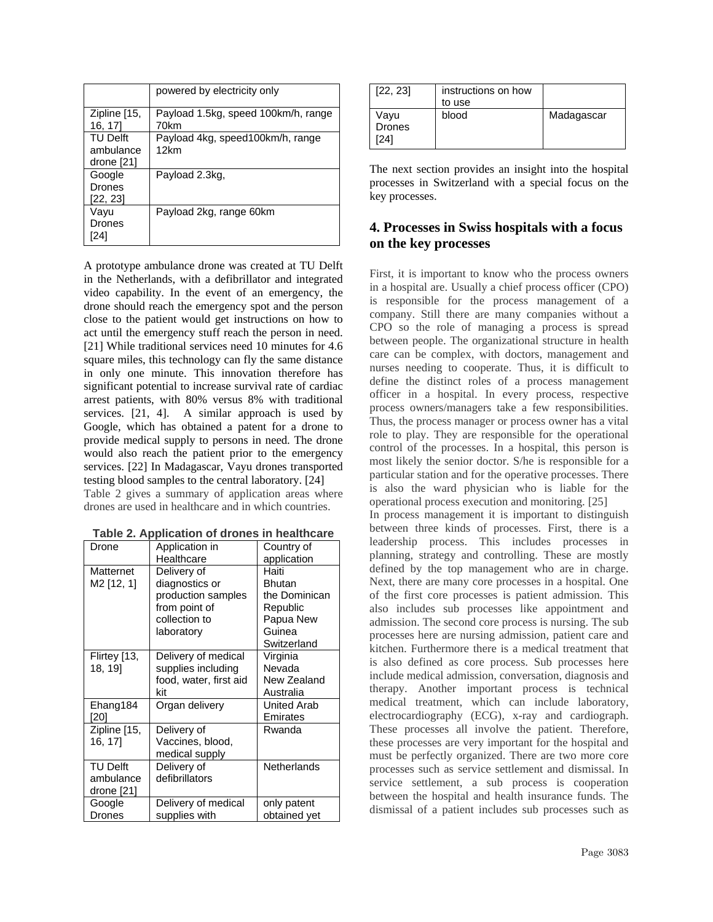|                                       | powered by electricity only                 |
|---------------------------------------|---------------------------------------------|
| Zipline [15,<br>16, 17]               | Payload 1.5kg, speed 100km/h, range<br>70km |
| TU Delft<br>ambulance<br>drone $[21]$ | Payload 4kg, speed100km/h, range<br>12km    |
| Google<br>Drones<br>[22, 23]          | Payload 2.3kg,                              |
| Vavu<br>Drones<br>24                  | Payload 2kg, range 60km                     |

A prototype ambulance drone was created at TU Delft in the Netherlands, with a defibrillator and integrated video capability. In the event of an emergency, the drone should reach the emergency spot and the person close to the patient would get instructions on how to act until the emergency stuff reach the person in need. [21] While traditional services need 10 minutes for 4.6 square miles, this technology can fly the same distance in only one minute. This innovation therefore has significant potential to increase survival rate of cardiac arrest patients, with 80% versus 8% with traditional services. [21, 4]. A similar approach is used by Google, which [has obtained a patent](http://www.techinsider.io/google-awarded-patent-for-emergency-medical-drones-2016-4) for a drone to provide medical supply to persons in need. The drone would also reach the patient prior to the emergency services. [22] In Madagascar, Vayu drones transported testing blood samples to the central laboratory. [24]

Table 2 gives a summary of application areas where drones are used in healthcare and in which countries.

| Drone                  | rapic z. Application or aronce in nearthearc<br>Application in | Country of         |
|------------------------|----------------------------------------------------------------|--------------------|
|                        | Healthcare                                                     | application        |
| Matternet              | Delivery of                                                    | Haiti              |
| M <sub>2</sub> [12, 1] | diagnostics or                                                 | Bhutan             |
|                        | production samples                                             | the Dominican      |
|                        | from point of                                                  | Republic           |
|                        | collection to                                                  |                    |
|                        |                                                                | Papua New          |
|                        | laboratory                                                     | Guinea             |
|                        |                                                                | Switzerland        |
| Flirtey [13,           | Delivery of medical                                            | Virginia           |
| 18, 19]                | supplies including                                             | Nevada             |
|                        | food, water, first aid                                         | New Zealand        |
|                        | kit                                                            | Australia          |
| Ehang184               | Organ delivery                                                 | <b>United Arab</b> |
| [20]                   |                                                                | Emirates           |
| Zipline [15,           | Delivery of                                                    | Rwanda             |
| 16, 17]                | Vaccines, blood,                                               |                    |
|                        | medical supply                                                 |                    |
| <b>TU Delft</b>        | Delivery of                                                    | <b>Netherlands</b> |
| ambulance              | defibrillators                                                 |                    |
| drone [21]             |                                                                |                    |
| Google                 | Delivery of medical                                            | only patent        |
| Drones                 | supplies with                                                  | obtained yet       |

| Table 2. Application of drones in healthcare |  |
|----------------------------------------------|--|
|----------------------------------------------|--|

| [22, 23]                      | instructions on how<br>to use |            |
|-------------------------------|-------------------------------|------------|
| Vayu<br><b>Drones</b><br>'241 | blood                         | Madagascar |

The next section provides an insight into the hospital processes in Switzerland with a special focus on the key processes.

## **4. Processes in Swiss hospitals with a focus on the key processes**

First, it is important to know who the process owners in a hospital are. Usually a chief process officer (CPO) is responsible for the process management of a company. Still there are many companies without a CPO so the role of managing a process is spread between people. The organizational structure in health care can be complex, with doctors, management and nurses needing to cooperate. Thus, it is difficult to define the distinct roles of a process management officer in a hospital. In every process, respective process owners/managers take a few responsibilities. Thus, the process manager or process owner has a vital role to play. They are responsible for the operational control of the processes. In a hospital, this person is most likely the senior doctor. S/he is responsible for a particular station and for the operative processes. There is also the ward physician who is liable for the operational process execution and monitoring. [25]

In process management it is important to distinguish between three kinds of processes. First, there is a leadership process. This includes processes in planning, strategy and controlling. These are mostly defined by the top management who are in charge. Next, there are many core processes in a hospital. One of the first core processes is patient admission. This also includes sub processes like appointment and admission. The second core process is nursing. The sub processes here are nursing admission, patient care and kitchen. Furthermore there is a medical treatment that is also defined as core process. Sub processes here include medical admission, conversation, diagnosis and therapy. Another important process is technical medical treatment, which can include laboratory, electrocardiography (ECG), x-ray and cardiograph. These processes all involve the patient. Therefore, these processes are very important for the hospital and must be perfectly organized. There are two more core processes such as service settlement and dismissal. In service settlement, a sub process is cooperation between the hospital and health insurance funds. The dismissal of a patient includes sub processes such as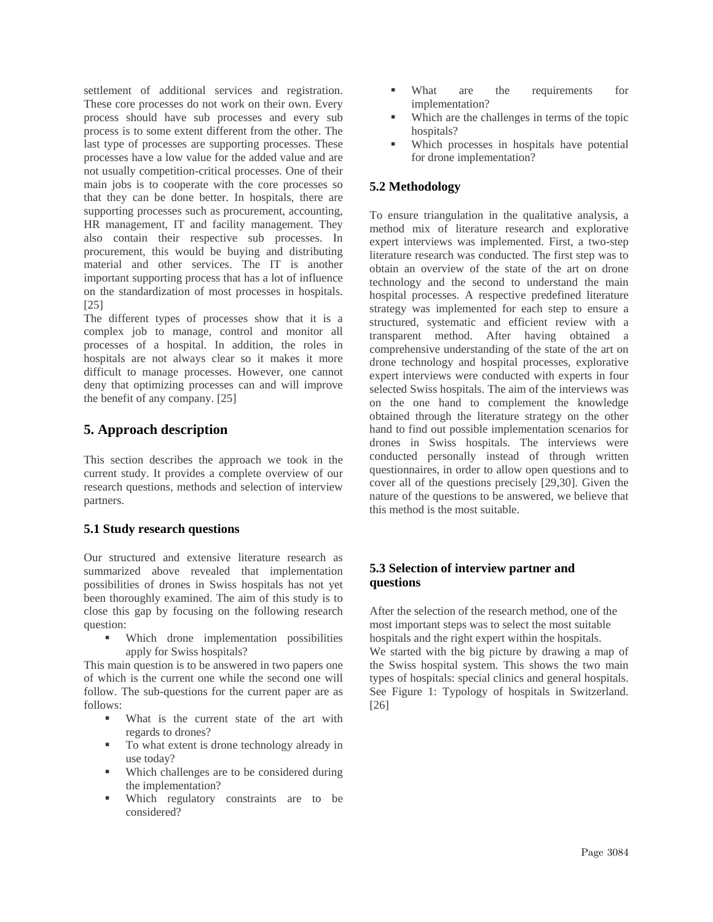settlement of additional services and registration. These core processes do not work on their own. Every process should have sub processes and every sub process is to some extent different from the other. The last type of processes are supporting processes. These processes have a low value for the added value and are not usually competition-critical processes. One of their main jobs is to cooperate with the core processes so that they can be done better. In hospitals, there are supporting processes such as procurement, accounting, HR management, IT and facility management. They also contain their respective sub processes. In procurement, this would be buying and distributing material and other services. The IT is another important supporting process that has a lot of influence on the standardization of most processes in hospitals. [25]

The different types of processes show that it is a complex job to manage, control and monitor all processes of a hospital. In addition, the roles in hospitals are not always clear so it makes it more difficult to manage processes. However, one cannot deny that optimizing processes can and will improve the benefit of any company. [25]

## **5. Approach description**

This section describes the approach we took in the current study. It provides a complete overview of our research questions, methods and selection of interview partners.

### **5.1 Study research questions**

Our structured and extensive literature research as summarized above revealed that implementation possibilities of drones in Swiss hospitals has not yet been thoroughly examined. The aim of this study is to close this gap by focusing on the following research question:

 Which drone implementation possibilities apply for Swiss hospitals?

This main question is to be answered in two papers one of which is the current one while the second one will follow. The sub-questions for the current paper are as follows:

- What is the current state of the art with regards to drones?
- To what extent is drone technology already in use today?
- Which challenges are to be considered during the implementation?
- Which regulatory constraints are to be considered?
- What are the requirements for implementation?
- Which are the challenges in terms of the topic hospitals?
- Which processes in hospitals have potential for drone implementation?

### **5.2 Methodology**

To ensure triangulation in the qualitative analysis, a method mix of literature research and explorative expert interviews was implemented. First, a two-step literature research was conducted. The first step was to obtain an overview of the state of the art on drone technology and the second to understand the main hospital processes. A respective predefined literature strategy was implemented for each step to ensure a structured, systematic and efficient review with a transparent method. After having obtained a comprehensive understanding of the state of the art on drone technology and hospital processes, explorative expert interviews were conducted with experts in four selected Swiss hospitals. The aim of the interviews was on the one hand to complement the knowledge obtained through the literature strategy on the other hand to find out possible implementation scenarios for drones in Swiss hospitals. The interviews were conducted personally instead of through written questionnaires, in order to allow open questions and to cover all of the questions precisely [29,30]. Given the nature of the questions to be answered, we believe that this method is the most suitable.

## **5.3 Selection of interview partner and questions**

After the selection of the research method, one of the most important steps was to select the most suitable hospitals and the right expert within the hospitals. We started with the big picture by drawing a map of the Swiss hospital system. This shows the two main types of hospitals: special clinics and general hospitals. See Figure 1: Typology of hospitals in Switzerland. [26]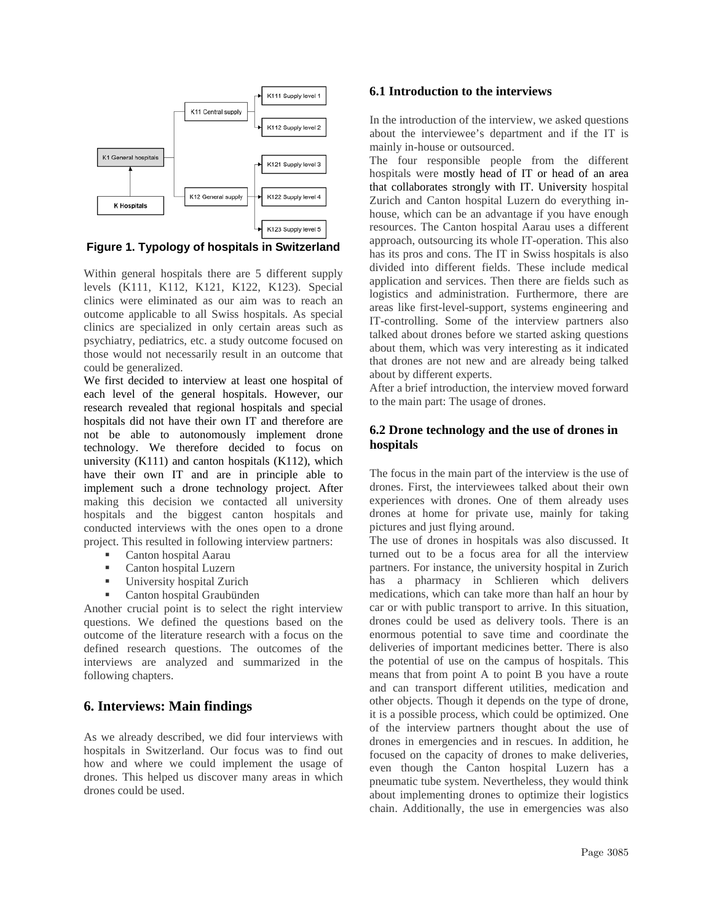

**Figure 1. Typology of hospitals in Switzerland**

Within general hospitals there are 5 different supply levels (K111, K112, K121, K122, K123). Special clinics were eliminated as our aim was to reach an outcome applicable to all Swiss hospitals. As special clinics are specialized in only certain areas such as psychiatry, pediatrics, etc. a study outcome focused on those would not necessarily result in an outcome that could be generalized.

We first decided to interview at least one hospital of each level of the general hospitals. However, our research revealed that regional hospitals and special hospitals did not have their own IT and therefore are not be able to autonomously implement drone technology. We therefore decided to focus on university (K111) and canton hospitals (K112), which have their own IT and are in principle able to implement such a drone technology project. After making this decision we contacted all university hospitals and the biggest canton hospitals and conducted interviews with the ones open to a drone project. This resulted in following interview partners:

- Canton hospital Aarau
- Canton hospital Luzern
- University hospital Zurich
- Canton hospital Graubünden

Another crucial point is to select the right interview questions. We defined the questions based on the outcome of the literature research with a focus on the defined research questions. The outcomes of the interviews are analyzed and summarized in the following chapters.

### **6. Interviews: Main findings**

As we already described, we did four interviews with hospitals in Switzerland. Our focus was to find out how and where we could implement the usage of drones. This helped us discover many areas in which drones could be used.

#### **6.1 Introduction to the interviews**

In the introduction of the interview, we asked questions about the interviewee's department and if the IT is mainly in-house or outsourced.

The four responsible people from the different hospitals were mostly head of IT or head of an area that collaborates strongly with IT. University hospital Zurich and Canton hospital Luzern do everything inhouse, which can be an advantage if you have enough resources. The Canton hospital Aarau uses a different approach, outsourcing its whole IT-operation. This also has its pros and cons. The IT in Swiss hospitals is also divided into different fields. These include medical application and services. Then there are fields such as logistics and administration. Furthermore, there are areas like first-level-support, systems engineering and IT-controlling. Some of the interview partners also talked about drones before we started asking questions about them, which was very interesting as it indicated that drones are not new and are already being talked about by different experts.

After a brief introduction, the interview moved forward to the main part: The usage of drones.

#### **6.2 Drone technology and the use of drones in hospitals**

The focus in the main part of the interview is the use of drones. First, the interviewees talked about their own experiences with drones. One of them already uses drones at home for private use, mainly for taking pictures and just flying around.

The use of drones in hospitals was also discussed. It turned out to be a focus area for all the interview partners. For instance, the university hospital in Zurich has a pharmacy in Schlieren which delivers medications, which can take more than half an hour by car or with public transport to arrive. In this situation, drones could be used as delivery tools. There is an enormous potential to save time and coordinate the deliveries of important medicines better. There is also the potential of use on the campus of hospitals. This means that from point A to point B you have a route and can transport different utilities, medication and other objects. Though it depends on the type of drone, it is a possible process, which could be optimized. One of the interview partners thought about the use of drones in emergencies and in rescues. In addition, he focused on the capacity of drones to make deliveries, even though the Canton hospital Luzern has a pneumatic tube system. Nevertheless, they would think about implementing drones to optimize their logistics chain. Additionally, the use in emergencies was also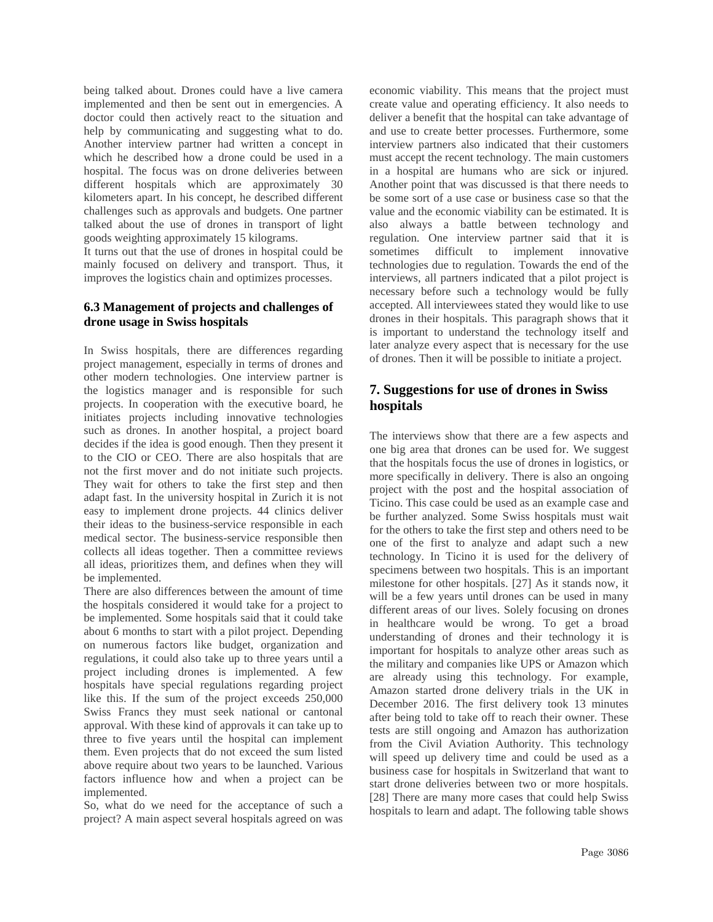being talked about. Drones could have a live camera implemented and then be sent out in emergencies. A doctor could then actively react to the situation and help by communicating and suggesting what to do. Another interview partner had written a concept in which he described how a drone could be used in a hospital. The focus was on drone deliveries between different hospitals which are approximately 30 kilometers apart. In his concept, he described different challenges such as approvals and budgets. One partner talked about the use of drones in transport of light goods weighting approximately 15 kilograms.

It turns out that the use of drones in hospital could be mainly focused on delivery and transport. Thus, it improves the logistics chain and optimizes processes.

#### **6.3 Management of projects and challenges of drone usage in Swiss hospitals**

In Swiss hospitals, there are differences regarding project management, especially in terms of drones and other modern technologies. One interview partner is the logistics manager and is responsible for such projects. In cooperation with the executive board, he initiates projects including innovative technologies such as drones. In another hospital, a project board decides if the idea is good enough. Then they present it to the CIO or CEO. There are also hospitals that are not the first mover and do not initiate such projects. They wait for others to take the first step and then adapt fast. In the university hospital in Zurich it is not easy to implement drone projects. 44 clinics deliver their ideas to the business-service responsible in each medical sector. The business-service responsible then collects all ideas together. Then a committee reviews all ideas, prioritizes them, and defines when they will be implemented.

There are also differences between the amount of time the hospitals considered it would take for a project to be implemented. Some hospitals said that it could take about 6 months to start with a pilot project. Depending on numerous factors like budget, organization and regulations, it could also take up to three years until a project including drones is implemented. A few hospitals have special regulations regarding project like this. If the sum of the project exceeds 250,000 Swiss Francs they must seek national or cantonal approval. With these kind of approvals it can take up to three to five years until the hospital can implement them. Even projects that do not exceed the sum listed above require about two years to be launched. Various factors influence how and when a project can be implemented.

So, what do we need for the acceptance of such a project? A main aspect several hospitals agreed on was economic viability. This means that the project must create value and operating efficiency. It also needs to deliver a benefit that the hospital can take advantage of and use to create better processes. Furthermore, some interview partners also indicated that their customers must accept the recent technology. The main customers in a hospital are humans who are sick or injured. Another point that was discussed is that there needs to be some sort of a use case or business case so that the value and the economic viability can be estimated. It is also always a battle between technology and regulation. One interview partner said that it is sometimes difficult to implement innovative technologies due to regulation. Towards the end of the interviews, all partners indicated that a pilot project is necessary before such a technology would be fully accepted. All interviewees stated they would like to use drones in their hospitals. This paragraph shows that it is important to understand the technology itself and later analyze every aspect that is necessary for the use of drones. Then it will be possible to initiate a project.

# **7. Suggestions for use of drones in Swiss hospitals**

The interviews show that there are a few aspects and one big area that drones can be used for. We suggest that the hospitals focus the use of drones in logistics, or more specifically in delivery. There is also an ongoing project with the post and the hospital association of Ticino. This case could be used as an example case and be further analyzed. Some Swiss hospitals must wait for the others to take the first step and others need to be one of the first to analyze and adapt such a new technology. In Ticino it is used for the delivery of specimens between two hospitals. This is an important milestone for other hospitals. [27] As it stands now, it will be a few years until drones can be used in many different areas of our lives. Solely focusing on drones in healthcare would be wrong. To get a broad understanding of drones and their technology it is important for hospitals to analyze other areas such as the military and companies like UPS or Amazon which are already using this technology. For example, Amazon started drone delivery trials in the UK in December 2016. The first delivery took 13 minutes after being told to take off to reach their owner. These tests are still ongoing and Amazon has authorization from the Civil Aviation Authority. This technology will speed up delivery time and could be used as a business case for hospitals in Switzerland that want to start drone deliveries between two or more hospitals. [28] There are many more cases that could help Swiss hospitals to learn and adapt. The following table shows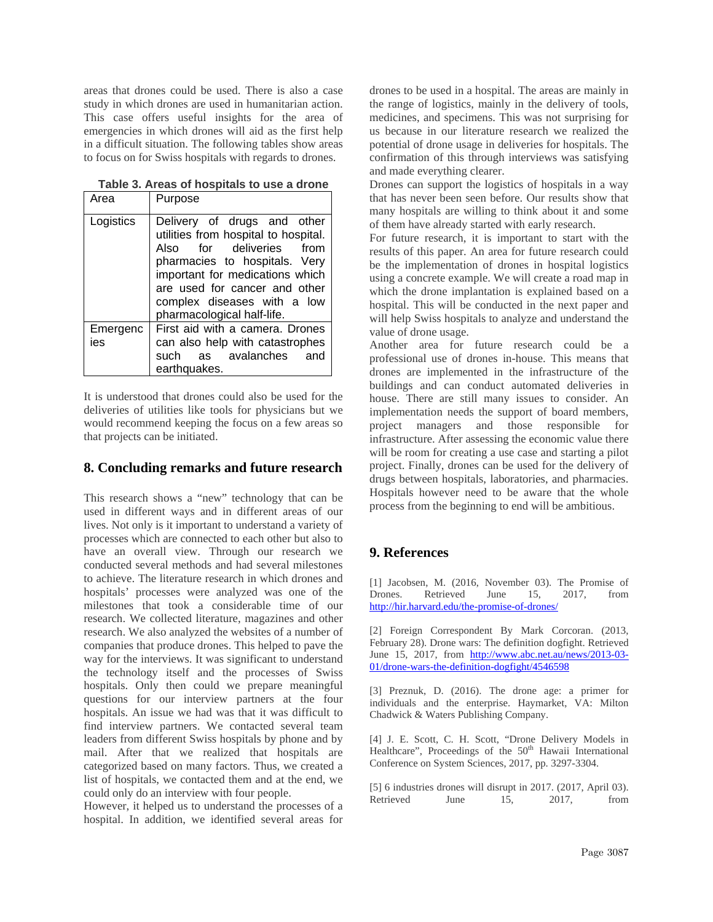areas that drones could be used. There is also a case study in which drones are used in humanitarian action. This case offers useful insights for the area of emergencies in which drones will aid as the first help in a difficult situation. The following tables show areas to focus on for Swiss hospitals with regards to drones.

| Area            | Purpose                                                                                                                                                                                                                                                           |  |
|-----------------|-------------------------------------------------------------------------------------------------------------------------------------------------------------------------------------------------------------------------------------------------------------------|--|
| Logistics       | Delivery of drugs and other<br>utilities from hospital to hospital.<br>Also for deliveries from<br>pharmacies to hospitals. Very<br>important for medications which<br>are used for cancer and other<br>complex diseases with a low<br>pharmacological half-life. |  |
| Emergenc<br>ies | First aid with a camera. Drones<br>can also help with catastrophes<br>as avalanches and<br>such<br>earthquakes.                                                                                                                                                   |  |

**Table 3. Areas of hospitals to use a drone**

It is understood that drones could also be used for the deliveries of utilities like tools for physicians but we would recommend keeping the focus on a few areas so that projects can be initiated.

#### **8. Concluding remarks and future research**

This research shows a "new" technology that can be used in different ways and in different areas of our lives. Not only is it important to understand a variety of processes which are connected to each other but also to have an overall view. Through our research we conducted several methods and had several milestones to achieve. The literature research in which drones and hospitals' processes were analyzed was one of the milestones that took a considerable time of our research. We collected literature, magazines and other research. We also analyzed the websites of a number of companies that produce drones. This helped to pave the way for the interviews. It was significant to understand the technology itself and the processes of Swiss hospitals. Only then could we prepare meaningful questions for our interview partners at the four hospitals. An issue we had was that it was difficult to find interview partners. We contacted several team leaders from different Swiss hospitals by phone and by mail. After that we realized that hospitals are categorized based on many factors. Thus, we created a list of hospitals, we contacted them and at the end, we could only do an interview with four people.

However, it helped us to understand the processes of a hospital. In addition, we identified several areas for drones to be used in a hospital. The areas are mainly in the range of logistics, mainly in the delivery of tools, medicines, and specimens. This was not surprising for us because in our literature research we realized the potential of drone usage in deliveries for hospitals. The confirmation of this through interviews was satisfying and made everything clearer.

Drones can support the logistics of hospitals in a way that has never been seen before. Our results show that many hospitals are willing to think about it and some of them have already started with early research.

For future research, it is important to start with the results of this paper. An area for future research could be the implementation of drones in hospital logistics using a concrete example. We will create a road map in which the drone implantation is explained based on a hospital. This will be conducted in the next paper and will help Swiss hospitals to analyze and understand the value of drone usage.

Another area for future research could be a professional use of drones in-house. This means that drones are implemented in the infrastructure of the buildings and can conduct automated deliveries in house. There are still many issues to consider. An implementation needs the support of board members, project managers and those responsible for infrastructure. After assessing the economic value there will be room for creating a use case and starting a pilot project. Finally, drones can be used for the delivery of drugs between hospitals, laboratories, and pharmacies. Hospitals however need to be aware that the whole process from the beginning to end will be ambitious.

### **9. References**

[1] Jacobsen, M. (2016, November 03). The Promise of Drones Retrieved June 15, 2017 from <http://hir.harvard.edu/the-promise-of-drones/>

[2] Foreign Correspondent By Mark Corcoran. (2013, February 28). Drone wars: The definition dogfight. Retrieved June 15, 2017, from [http://www.abc.net.au/news/2013-03-](http://www.abc.net.au/news/2013-03-01/drone-wars-the-definition-dogfight/4546598) [01/drone-wars-the-definition-dogfight/4546598](http://www.abc.net.au/news/2013-03-01/drone-wars-the-definition-dogfight/4546598)

[3] Preznuk, D. (2016). The drone age: a primer for individuals and the enterprise. Haymarket, VA: Milton Chadwick & Waters Publishing Company.

[4] J. E. Scott, C. H. Scott, "Drone Delivery Models in Healthcare", Proceedings of the 50<sup>th</sup> Hawaii International Conference on System Sciences, 2017, pp. 3297-3304.

[5] 6 industries drones will disrupt in 2017. (2017, April 03). Retrieved June 15, 2017, from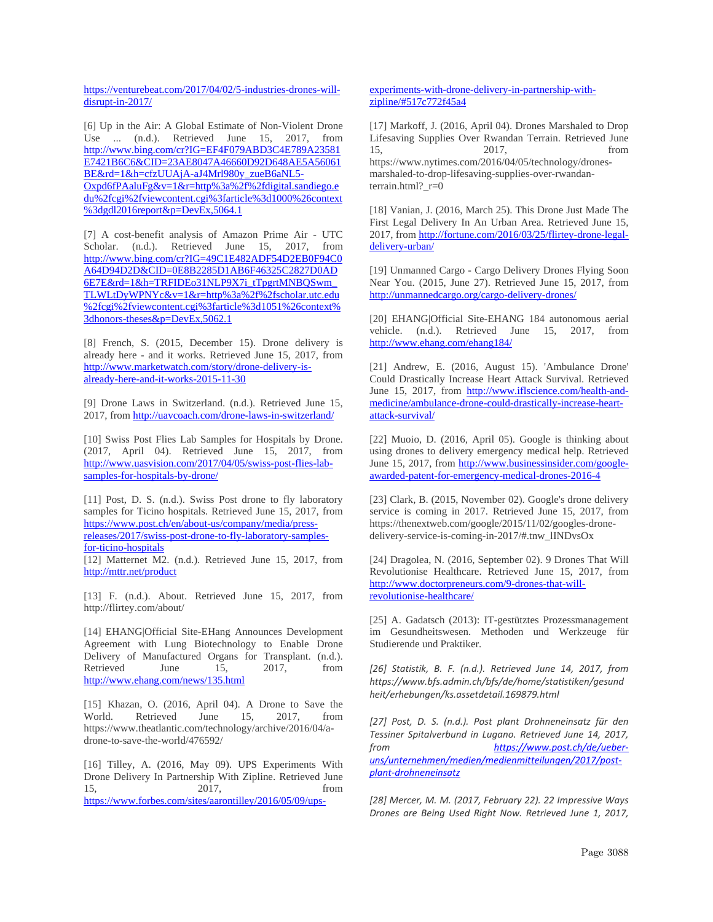[https://venturebeat.com/2017/04/02/5-industries-drones-will](https://venturebeat.com/2017/04/02/5-industries-drones-will-disrupt-in-2017/)[disrupt-in-2017/](https://venturebeat.com/2017/04/02/5-industries-drones-will-disrupt-in-2017/)

[6] Up in the Air: A Global Estimate of Non-Violent Drone Use ... (n.d.). Retrieved June 15, 2017, from [http://www.bing.com/cr?IG=EF4F079ABD3C4E789A23581](http://www.bing.com/cr?IG=EF4F079ABD3C4E789A23581E7421B6C6&CID=23AE8047A46660D92D648AE5A56061BE&rd=1&h=cfzUUAjA-aJ4Mrl980y_zueB6aNL5-Oxpd6fPAaluFg&v=1&r=http%3a%2f%2fdigital.sandiego.edu%2fcgi%2fviewcontent.cgi%3farticle%3d1000%26context%3dgdl2016report&p=DevEx,5064.1) [E7421B6C6&CID=23AE8047A46660D92D648AE5A56061](http://www.bing.com/cr?IG=EF4F079ABD3C4E789A23581E7421B6C6&CID=23AE8047A46660D92D648AE5A56061BE&rd=1&h=cfzUUAjA-aJ4Mrl980y_zueB6aNL5-Oxpd6fPAaluFg&v=1&r=http%3a%2f%2fdigital.sandiego.edu%2fcgi%2fviewcontent.cgi%3farticle%3d1000%26context%3dgdl2016report&p=DevEx,5064.1) [BE&rd=1&h=cfzUUAjA-aJ4Mrl980y\\_zueB6aNL5-](http://www.bing.com/cr?IG=EF4F079ABD3C4E789A23581E7421B6C6&CID=23AE8047A46660D92D648AE5A56061BE&rd=1&h=cfzUUAjA-aJ4Mrl980y_zueB6aNL5-Oxpd6fPAaluFg&v=1&r=http%3a%2f%2fdigital.sandiego.edu%2fcgi%2fviewcontent.cgi%3farticle%3d1000%26context%3dgdl2016report&p=DevEx,5064.1) [Oxpd6fPAaluFg&v=1&r=http%3a%2f%2fdigital.sandiego.e](http://www.bing.com/cr?IG=EF4F079ABD3C4E789A23581E7421B6C6&CID=23AE8047A46660D92D648AE5A56061BE&rd=1&h=cfzUUAjA-aJ4Mrl980y_zueB6aNL5-Oxpd6fPAaluFg&v=1&r=http%3a%2f%2fdigital.sandiego.edu%2fcgi%2fviewcontent.cgi%3farticle%3d1000%26context%3dgdl2016report&p=DevEx,5064.1) [du%2fcgi%2fviewcontent.cgi%3farticle%3d1000%26context](http://www.bing.com/cr?IG=EF4F079ABD3C4E789A23581E7421B6C6&CID=23AE8047A46660D92D648AE5A56061BE&rd=1&h=cfzUUAjA-aJ4Mrl980y_zueB6aNL5-Oxpd6fPAaluFg&v=1&r=http%3a%2f%2fdigital.sandiego.edu%2fcgi%2fviewcontent.cgi%3farticle%3d1000%26context%3dgdl2016report&p=DevEx,5064.1) [%3dgdl2016report&p=DevEx,5064.1](http://www.bing.com/cr?IG=EF4F079ABD3C4E789A23581E7421B6C6&CID=23AE8047A46660D92D648AE5A56061BE&rd=1&h=cfzUUAjA-aJ4Mrl980y_zueB6aNL5-Oxpd6fPAaluFg&v=1&r=http%3a%2f%2fdigital.sandiego.edu%2fcgi%2fviewcontent.cgi%3farticle%3d1000%26context%3dgdl2016report&p=DevEx,5064.1)

[7] A cost-benefit analysis of Amazon Prime Air - UTC Scholar. (n.d.). Retrieved June 15, 2017, from [http://www.bing.com/cr?IG=49C1E482ADF54D2EB0F94C0](http://www.bing.com/cr?IG=49C1E482ADF54D2EB0F94C0A64D94D2D&CID=0E8B2285D1AB6F46325C2827D0AD6E7E&rd=1&h=TRFIDEo31NLP9X7i_tTpgrtMNBQSwm_TLWLtDyWPNYc&v=1&r=http%3a%2f%2fscholar.utc.edu%2fcgi%2fviewcontent.cgi%3farticle%3d1051%26context%3dhonors-theses&p=DevEx,5062.1) [A64D94D2D&CID=0E8B2285D1AB6F46325C2827D0AD](http://www.bing.com/cr?IG=49C1E482ADF54D2EB0F94C0A64D94D2D&CID=0E8B2285D1AB6F46325C2827D0AD6E7E&rd=1&h=TRFIDEo31NLP9X7i_tTpgrtMNBQSwm_TLWLtDyWPNYc&v=1&r=http%3a%2f%2fscholar.utc.edu%2fcgi%2fviewcontent.cgi%3farticle%3d1051%26context%3dhonors-theses&p=DevEx,5062.1) [6E7E&rd=1&h=TRFIDEo31NLP9X7i\\_tTpgrtMNBQSwm\\_](http://www.bing.com/cr?IG=49C1E482ADF54D2EB0F94C0A64D94D2D&CID=0E8B2285D1AB6F46325C2827D0AD6E7E&rd=1&h=TRFIDEo31NLP9X7i_tTpgrtMNBQSwm_TLWLtDyWPNYc&v=1&r=http%3a%2f%2fscholar.utc.edu%2fcgi%2fviewcontent.cgi%3farticle%3d1051%26context%3dhonors-theses&p=DevEx,5062.1) [TLWLtDyWPNYc&v=1&r=http%3a%2f%2fscholar.utc.edu](http://www.bing.com/cr?IG=49C1E482ADF54D2EB0F94C0A64D94D2D&CID=0E8B2285D1AB6F46325C2827D0AD6E7E&rd=1&h=TRFIDEo31NLP9X7i_tTpgrtMNBQSwm_TLWLtDyWPNYc&v=1&r=http%3a%2f%2fscholar.utc.edu%2fcgi%2fviewcontent.cgi%3farticle%3d1051%26context%3dhonors-theses&p=DevEx,5062.1) [%2fcgi%2fviewcontent.cgi%3farticle%3d1051%26context%](http://www.bing.com/cr?IG=49C1E482ADF54D2EB0F94C0A64D94D2D&CID=0E8B2285D1AB6F46325C2827D0AD6E7E&rd=1&h=TRFIDEo31NLP9X7i_tTpgrtMNBQSwm_TLWLtDyWPNYc&v=1&r=http%3a%2f%2fscholar.utc.edu%2fcgi%2fviewcontent.cgi%3farticle%3d1051%26context%3dhonors-theses&p=DevEx,5062.1) [3dhonors-theses&p=DevEx,5062.1](http://www.bing.com/cr?IG=49C1E482ADF54D2EB0F94C0A64D94D2D&CID=0E8B2285D1AB6F46325C2827D0AD6E7E&rd=1&h=TRFIDEo31NLP9X7i_tTpgrtMNBQSwm_TLWLtDyWPNYc&v=1&r=http%3a%2f%2fscholar.utc.edu%2fcgi%2fviewcontent.cgi%3farticle%3d1051%26context%3dhonors-theses&p=DevEx,5062.1)

[8] French, S. (2015, December 15). Drone delivery is already here - and it works. Retrieved June 15, 2017, from [http://www.marketwatch.com/story/drone-delivery-is](http://www.marketwatch.com/story/drone-delivery-is-already-here-and-it-works-2015-11-30)[already-here-and-it-works-2015-11-30](http://www.marketwatch.com/story/drone-delivery-is-already-here-and-it-works-2015-11-30)

[9] Drone Laws in Switzerland. (n.d.). Retrieved June 15, 2017, fro[m http://uavcoach.com/drone-laws-in-switzerland/](http://uavcoach.com/drone-laws-in-switzerland/)

[10] Swiss Post Flies Lab Samples for Hospitals by Drone. (2017, April 04). Retrieved June 15, 2017, from [http://www.uasvision.com/2017/04/05/swiss-post-flies-lab](http://www.uasvision.com/2017/04/05/swiss-post-flies-lab-samples-for-hospitals-by-drone/)[samples-for-hospitals-by-drone/](http://www.uasvision.com/2017/04/05/swiss-post-flies-lab-samples-for-hospitals-by-drone/)

[11] Post, D. S. (n.d.). Swiss Post drone to fly laboratory samples for Ticino hospitals. Retrieved June 15, 2017, from [https://www.post.ch/en/about-us/company/media/press](https://www.post.ch/en/about-us/company/media/press-releases/2017/swiss-post-drone-to-fly-laboratory-samples-for-ticino-hospitals)[releases/2017/swiss-post-drone-to-fly-laboratory-samples](https://www.post.ch/en/about-us/company/media/press-releases/2017/swiss-post-drone-to-fly-laboratory-samples-for-ticino-hospitals)[for-ticino-hospitals](https://www.post.ch/en/about-us/company/media/press-releases/2017/swiss-post-drone-to-fly-laboratory-samples-for-ticino-hospitals) [12] Matternet M2. (n.d.). Retrieved June 15, 2017, from

<http://mttr.net/product>

[13] F. (n.d.). About. Retrieved June 15, 2017, from http://flirtey.com/about/

[14] EHANG|Official Site-EHang Announces Development Agreement with Lung Biotechnology to Enable Drone Delivery of Manufactured Organs for Transplant. (n.d.). Retrieved June 15, 2017, from <http://www.ehang.com/news/135.html>

[15] Khazan, O. (2016, April 04). A Drone to Save the World. Retrieved June 15, 2017, from https://www.theatlantic.com/technology/archive/2016/04/adrone-to-save-the-world/476592/

[16] Tilley, A. (2016, May 09). UPS Experiments With Drone Delivery In Partnership With Zipline. Retrieved June 15, 2017, 15, 2017, from [https://www.forbes.com/sites/aarontilley/2016/05/09/ups-](https://www.forbes.com/sites/aarontilley/2016/05/09/ups-experiments-with-drone-delivery-in-partnership-with-zipline/%23517c772f45a4)

#### [experiments-with-drone-delivery-in-partnership-with](https://www.forbes.com/sites/aarontilley/2016/05/09/ups-experiments-with-drone-delivery-in-partnership-with-zipline/%23517c772f45a4)[zipline/#517c772f45a4](https://www.forbes.com/sites/aarontilley/2016/05/09/ups-experiments-with-drone-delivery-in-partnership-with-zipline/%23517c772f45a4)

[17] Markoff, J. (2016, April 04). Drones Marshaled to Drop Lifesaving Supplies Over Rwandan Terrain. Retrieved June 15, 2017, from https://www.nytimes.com/2016/04/05/technology/dronesmarshaled-to-drop-lifesaving-supplies-over-rwandanterrain.html? $r=0$ 

[18] Vanian, J. (2016, March 25). This Drone Just Made The First Legal Delivery In An Urban Area. Retrieved June 15, 2017, from [http://fortune.com/2016/03/25/flirtey-drone-legal](http://fortune.com/2016/03/25/flirtey-drone-legal-delivery-urban/)[delivery-urban/](http://fortune.com/2016/03/25/flirtey-drone-legal-delivery-urban/)

[19] Unmanned Cargo - Cargo Delivery Drones Flying Soon Near You. (2015, June 27). Retrieved June 15, 2017, from <http://unmannedcargo.org/cargo-delivery-drones/>

[20] EHANG|Official Site-EHANG 184 autonomous aerial vehicle. (n.d.). Retrieved June 15, 2017, from <http://www.ehang.com/ehang184/>

[21] Andrew, E. (2016, August 15). 'Ambulance Drone' Could Drastically Increase Heart Attack Survival. Retrieved June 15, 2017, from [http://www.iflscience.com/health-and](http://www.iflscience.com/health-and-medicine/ambulance-drone-could-drastically-increase-heart-attack-survival/)[medicine/ambulance-drone-could-drastically-increase-heart](http://www.iflscience.com/health-and-medicine/ambulance-drone-could-drastically-increase-heart-attack-survival/)[attack-survival/](http://www.iflscience.com/health-and-medicine/ambulance-drone-could-drastically-increase-heart-attack-survival/)

[22] Muoio, D. (2016, April 05). Google is thinking about using drones to delivery emergency medical help. Retrieved June 15, 2017, from [http://www.businessinsider.com/google](http://www.businessinsider.com/google-awarded-patent-for-emergency-medical-drones-2016-4)[awarded-patent-for-emergency-medical-drones-2016-4](http://www.businessinsider.com/google-awarded-patent-for-emergency-medical-drones-2016-4)

[23] Clark, B. (2015, November 02). Google's drone delivery service is coming in 2017. Retrieved June 15, 2017, from https://thenextweb.com/google/2015/11/02/googles-dronedelivery-service-is-coming-in-2017/#.tnw\_lINDvsOx

[24] Dragolea, N. (2016, September 02). 9 Drones That Will Revolutionise Healthcare. Retrieved June 15, 2017, from [http://www.doctorpreneurs.com/9-drones-that-will](http://www.doctorpreneurs.com/9-drones-that-will-revolutionise-healthcare/)[revolutionise-healthcare/](http://www.doctorpreneurs.com/9-drones-that-will-revolutionise-healthcare/)

[25] A. Gadatsch (2013): IT-gestütztes Prozessmanagement im Gesundheitswesen. Methoden und Werkzeuge für Studierende und Praktiker.

*[26] Statistik, B. F. (n.d.). Retrieved June 14, 2017, from https://www.bfs.admin.ch/bfs/de/home/statistiken/gesund heit/erhebungen/ks.assetdetail.169879.html*

*[27] Post, D. S. (n.d.). Post plant Drohneneinsatz für den Tessiner Spitalverbund in Lugano. Retrieved June 14, 2017, from [https://www.post.ch/de/ueber](https://www.post.ch/de/ueber-uns/unternehmen/medien/medienmitteilungen/2017/post-plant-drohneneinsatz)[uns/unternehmen/medien/medienmitteilungen/2017/post](https://www.post.ch/de/ueber-uns/unternehmen/medien/medienmitteilungen/2017/post-plant-drohneneinsatz)[plant-drohneneinsatz](https://www.post.ch/de/ueber-uns/unternehmen/medien/medienmitteilungen/2017/post-plant-drohneneinsatz)*

*[28] Mercer, M. M. (2017, February 22). 22 Impressive Ways Drones are Being Used Right Now. Retrieved June 1, 2017,*